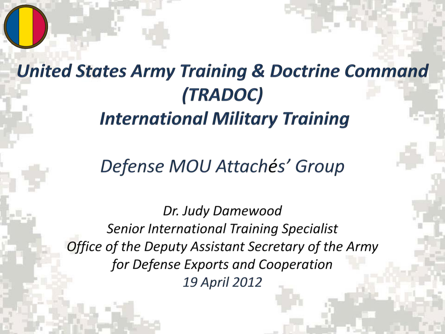# **United States Army Training & Doctrine Command** *(TRADOC)* **International Military Training**

#### Defense MOU Attachés' Group

Dr. Judy Damewood **Senior International Training Specialist** Office of the Deputy Assistant Secretary of the Army for Defense Exports and Cooperation **19 April 2012**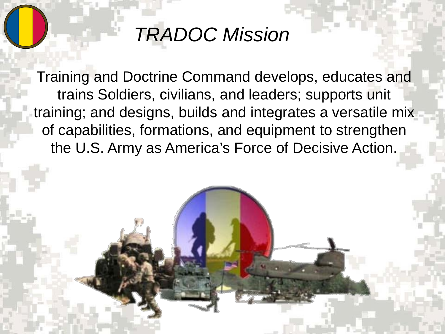# *TRADOC Mission*

Training and Doctrine Command develops, educates and trains Soldiers, civilians, and leaders; supports unit training; and designs, builds and integrates a versatile mix of capabilities, formations, and equipment to strengthen the U.S. Army as America's Force of Decisive Action.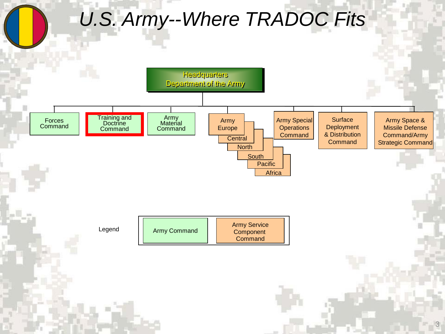# *U.S. Army--Where TRADOC Fits*

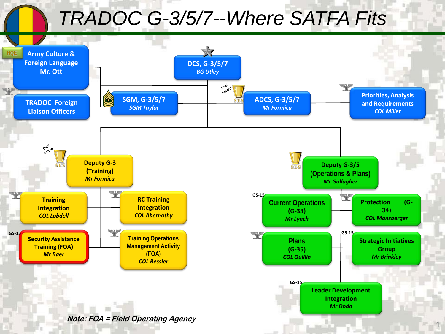# *TRADOC G-3/5/7--Where SATFA Fits*

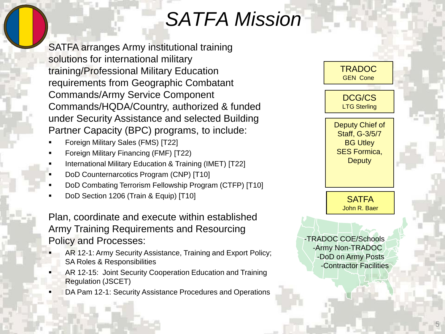# *SATFA Mission*

SATFA arranges Army institutional training solutions for international military training/Professional Military Education requirements from Geographic Combatant Commands/Army Service Component Commands/HQDA/Country, authorized & funded under Security Assistance and selected Building Partner Capacity (BPC) programs, to include:

- Foreign Military Sales (FMS) [T22]
- Foreign Military Financing (FMF) [T22)
- International Military Education & Training (IMET) [T22]
- DoD Counternarcotics Program (CNP) [T10]
- DoD Combating Terrorism Fellowship Program (CTFP) [T10]
- DoD Section 1206 (Train & Equip) [T10]

Plan, coordinate and execute within established Army Training Requirements and Resourcing Policy and Processes:

- AR 12-1: Army Security Assistance, Training and Export Policy; SA Roles & Responsibilities
- AR 12-15: Joint Security Cooperation Education and Training Regulation (JSCET)
- DA Pam 12-1: Security Assistance Procedures and Operations

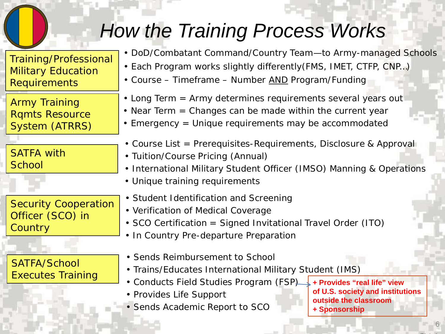# *How the Training Process Works*

Training/Professional Military Education Requirements

Army Training Rqmts Resource System (ATRRS)

SATFA with **School** 

Security Cooperation Officer (SCO) in **Country** 

SATFA/School

- DoD/Combatant Command/Country Team—to Army-managed Schools
- Each Program works slightly differently(FMS, IMET, CTFP, CNP…)
- Course Timeframe Number AND Program/Funding
- Long Term = Army determines requirements several years out
- Near Term = Changes can be made within the current year
- Emergency = Unique requirements may be accommodated
- Course List = Prerequisites-Requirements, Disclosure & Approval
- Tuition/Course Pricing (Annual)
- International Military Student Officer (IMSO) Manning & Operations
- Unique training requirements
- Student Identification and Screening
- Verification of Medical Coverage
- SCO Certification = Signed Invitational Travel Order (ITO)
- In Country Pre-departure Preparation
- Sends Reimbursement to School
- Trains/Educates International Military Student (IMS)
- Executes Training **1996** Trainis Educates International Military Statent (1885)<br> **Executes Training 1996** Conducts Field Studies Program (FSP) Frovides "real life" view
	- Provides Life Support
	- Sends Academic Report to SCO

**of U.S. society and institutions outside the classroom + Sponsorship**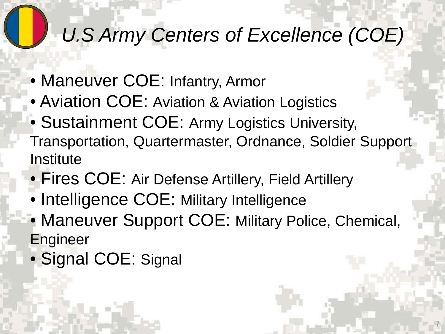# *U.S Army Centers of Excellence (COE)*

- Maneuver COE: Infantry, Armor
- Aviation COE: Aviation & Aviation Logistics
- Sustainment COE: Army Logistics University, Transportation, Quartermaster, Ordnance, Soldier Support **Institute**
- Fires COE: Air Defense Artillery, Field Artillery
- Intelligence COE: Military Intelligence
- Maneuver Support COE: Military Police, Chemical, **Engineer**

7

• Signal COE: Signal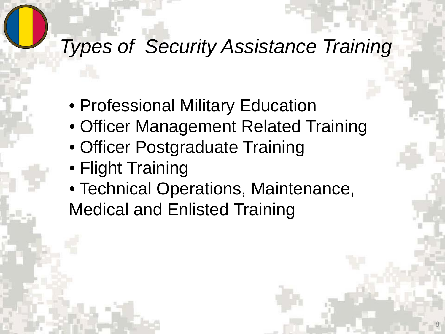# *Types of Security Assistance Training*

- Professional Military Education
- Officer Management Related Training
- Officer Postgraduate Training
- Flight Training
- Technical Operations, Maintenance, Medical and Enlisted Training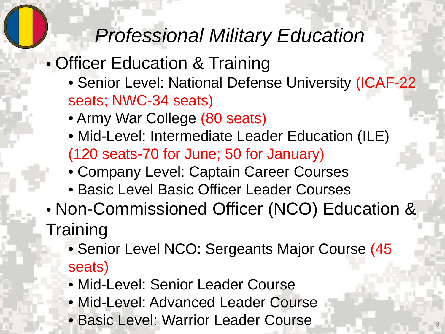# *Professional Military Education*

### • Officer Education & Training

- Senior Level: National Defense University (ICAF-22 seats; NWC-34 seats)
- Army War College (80 seats)
- Mid-Level: Intermediate Leader Education (ILE) (120 seats-70 for June; 50 for January)
- Company Level: Captain Career Courses
- Basic Level Basic Officer Leader Courses
- Non-Commissioned Officer (NCO) Education & **Training** 
	- Senior Level NCO: Sergeants Major Course (45 seats)
	- Mid-Level: Senior Leader Course
	- Mid-Level: Advanced Leader Course
	- Basic Level: Warrior Leader Course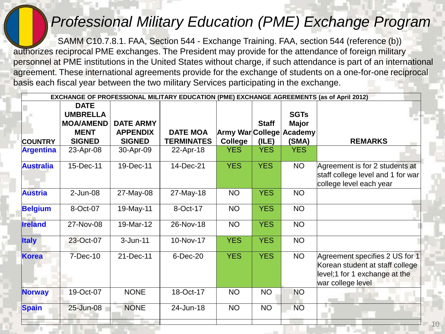#### *Professional Military Education (PME) Exchange Program*

SAMM C10.7.8.1. FAA, Section 544 - Exchange Training. FAA, section 544 (reference (b)) authorizes reciprocal PME exchanges. The President may provide for the attendance of foreign military personnel at PME institutions in the United States without charge, if such attendance is part of an international agreement. These international agreements provide for the exchange of students on a one-for-one reciprocal basis each fiscal year between the two military Services participating in the exchange.

| EXCHANGE OF PROFESSIONAL MILITARY EDUCATION (PME) EXCHANGE AGREEMENTS (as of April 2012) |                  |                  |                   |                          |              |              |                                                                                                                         |
|------------------------------------------------------------------------------------------|------------------|------------------|-------------------|--------------------------|--------------|--------------|-------------------------------------------------------------------------------------------------------------------------|
|                                                                                          | <b>DATE</b>      |                  |                   |                          |              |              |                                                                                                                         |
|                                                                                          | <b>UMBRELLA</b>  |                  |                   |                          |              | <b>SGTs</b>  |                                                                                                                         |
|                                                                                          | <b>MOA/AMEND</b> | <b>DATE ARMY</b> |                   |                          | <b>Staff</b> | <b>Major</b> |                                                                                                                         |
|                                                                                          | <b>MENT</b>      | <b>APPENDIX</b>  | <b>DATE MOA</b>   | Army War College Academy |              |              |                                                                                                                         |
| <b>COUNTRY</b>                                                                           | <b>SIGNED</b>    | <b>SIGNED</b>    | <b>TERMINATES</b> | <b>College</b>           | (ILE)        | (SMA)        | <b>REMARKS</b>                                                                                                          |
| <b>Argentina</b>                                                                         | 23-Apr-08        | 30-Apr-09        | 22-Apr-18         | <b>YES</b>               | <b>YES</b>   | <b>YES</b>   |                                                                                                                         |
| <b>Australia</b>                                                                         | 15-Dec-11        | 19-Dec-11        | 14-Dec-21         | <b>YES</b>               | <b>YES</b>   | <b>NO</b>    | Agreement is for 2 students at<br>staff college level and 1 for war<br>college level each year                          |
| <b>Austria</b>                                                                           | $2$ -Jun-08      | 27-May-08        | 27-May-18         | <b>NO</b>                | <b>YES</b>   | <b>NO</b>    |                                                                                                                         |
| <b>Belgium</b>                                                                           | 8-Oct-07         | 19-May-11        | 8-Oct-17          | <b>NO</b>                | <b>YES</b>   | <b>NO</b>    |                                                                                                                         |
| <b>Ireland</b>                                                                           | 27-Nov-08        | 19-Mar-12        | 26-Nov-18         | <b>NO</b>                | <b>YES</b>   | <b>NO</b>    |                                                                                                                         |
| <b>Italy</b>                                                                             | 23-Oct-07        | $3 - Jun-11$     | 10-Nov-17         | <b>YES</b>               | <b>YES</b>   | <b>NO</b>    |                                                                                                                         |
| <b>Korea</b>                                                                             | 7-Dec-10         | 21-Dec-11        | 6-Dec-20          | <b>YES</b>               | <b>YES</b>   | <b>NO</b>    | Agreement specifies 2 US for 1<br>Korean student at staff college<br>level;1 for 1 exchange at the<br>war college level |
| <b>Norway</b>                                                                            | 19-Oct-07        | <b>NONE</b>      | 18-Oct-17         | <b>NO</b>                | <b>NO</b>    | <b>NO</b>    |                                                                                                                         |
| <b>Spain</b>                                                                             | 25-Jun-08        | <b>NONE</b>      | 24-Jun-18         | <b>NO</b>                | <b>NO</b>    | <b>NO</b>    | 目目                                                                                                                      |
|                                                                                          |                  |                  |                   |                          |              |              |                                                                                                                         |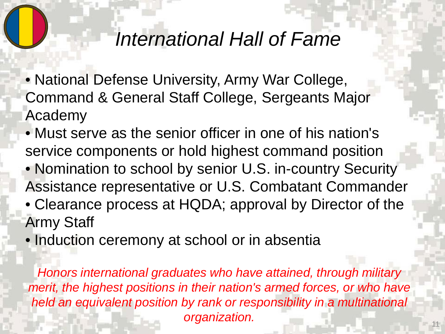#### *International Hall of Fame*

- National Defense University, Army War College, Command & General Staff College, Sergeants Major Academy
- Must serve as the senior officer in one of his nation's service components or hold highest command position
- Nomination to school by senior U.S. in-country Security Assistance representative or U.S. Combatant Commander
- Clearance process at HQDA; approval by Director of the Army Staff
- Induction ceremony at school or in absentia

*Honors international graduates who have attained, through military merit, the highest positions in their nation's armed forces, or who have held an equivalent position by rank or responsibility in a multinational organization.*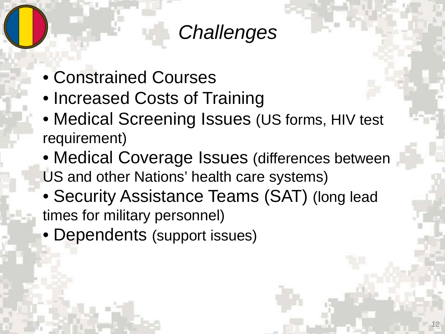## *Challenges*

- Constrained Courses
- Increased Costs of Training
- Medical Screening Issues (US forms, HIV test requirement)
- Medical Coverage Issues (differences between US and other Nations' health care systems)
- Security Assistance Teams (SAT) (long lead times for military personnel)
- Dependents (support issues)